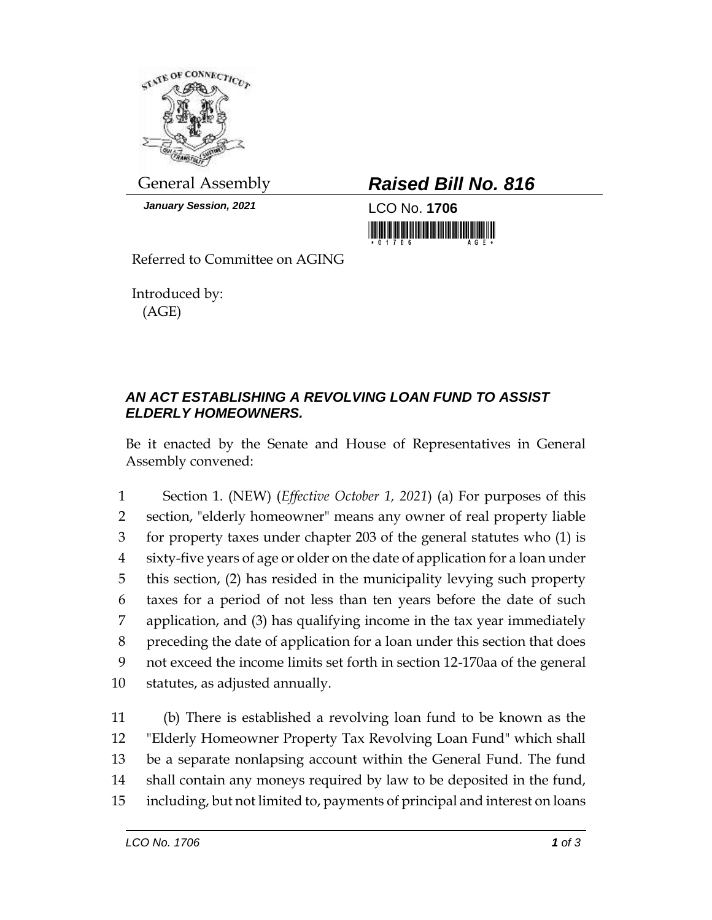

*January Session, 2021* LCO No. **1706**

General Assembly *Raised Bill No. 816*

<u> 1999 - An Dùbhlachd Marwrig Marwr</u>

Referred to Committee on AGING

Introduced by: (AGE)

## *AN ACT ESTABLISHING A REVOLVING LOAN FUND TO ASSIST ELDERLY HOMEOWNERS.*

Be it enacted by the Senate and House of Representatives in General Assembly convened:

 Section 1. (NEW) (*Effective October 1, 2021*) (a) For purposes of this section, "elderly homeowner" means any owner of real property liable for property taxes under chapter 203 of the general statutes who (1) is sixty-five years of age or older on the date of application for a loan under this section, (2) has resided in the municipality levying such property taxes for a period of not less than ten years before the date of such application, and (3) has qualifying income in the tax year immediately preceding the date of application for a loan under this section that does not exceed the income limits set forth in section 12-170aa of the general statutes, as adjusted annually.

 (b) There is established a revolving loan fund to be known as the "Elderly Homeowner Property Tax Revolving Loan Fund" which shall be a separate nonlapsing account within the General Fund. The fund shall contain any moneys required by law to be deposited in the fund, including, but not limited to, payments of principal and interest on loans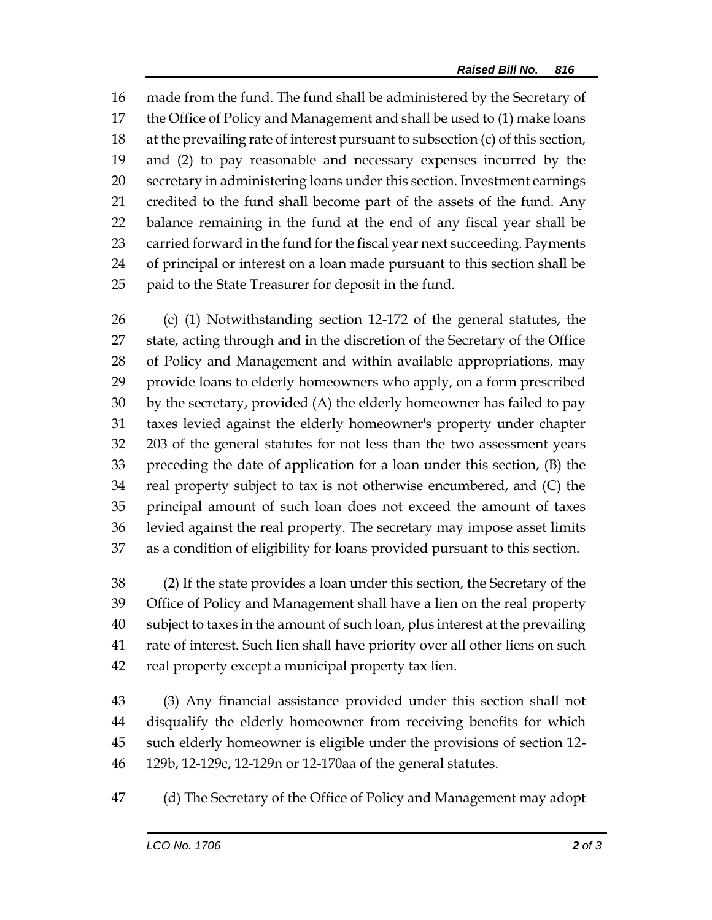made from the fund. The fund shall be administered by the Secretary of the Office of Policy and Management and shall be used to (1) make loans at the prevailing rate of interest pursuant to subsection (c) of this section, and (2) to pay reasonable and necessary expenses incurred by the secretary in administering loans under this section. Investment earnings credited to the fund shall become part of the assets of the fund. Any balance remaining in the fund at the end of any fiscal year shall be carried forward in the fund for the fiscal year next succeeding. Payments of principal or interest on a loan made pursuant to this section shall be paid to the State Treasurer for deposit in the fund.

 (c) (1) Notwithstanding section 12-172 of the general statutes, the state, acting through and in the discretion of the Secretary of the Office of Policy and Management and within available appropriations, may provide loans to elderly homeowners who apply, on a form prescribed by the secretary, provided (A) the elderly homeowner has failed to pay taxes levied against the elderly homeowner's property under chapter 203 of the general statutes for not less than the two assessment years preceding the date of application for a loan under this section, (B) the real property subject to tax is not otherwise encumbered, and (C) the principal amount of such loan does not exceed the amount of taxes levied against the real property. The secretary may impose asset limits as a condition of eligibility for loans provided pursuant to this section.

 (2) If the state provides a loan under this section, the Secretary of the Office of Policy and Management shall have a lien on the real property subject to taxes in the amount of such loan, plus interest at the prevailing rate of interest. Such lien shall have priority over all other liens on such real property except a municipal property tax lien.

 (3) Any financial assistance provided under this section shall not disqualify the elderly homeowner from receiving benefits for which such elderly homeowner is eligible under the provisions of section 12- 129b, 12-129c, 12-129n or 12-170aa of the general statutes.

(d) The Secretary of the Office of Policy and Management may adopt